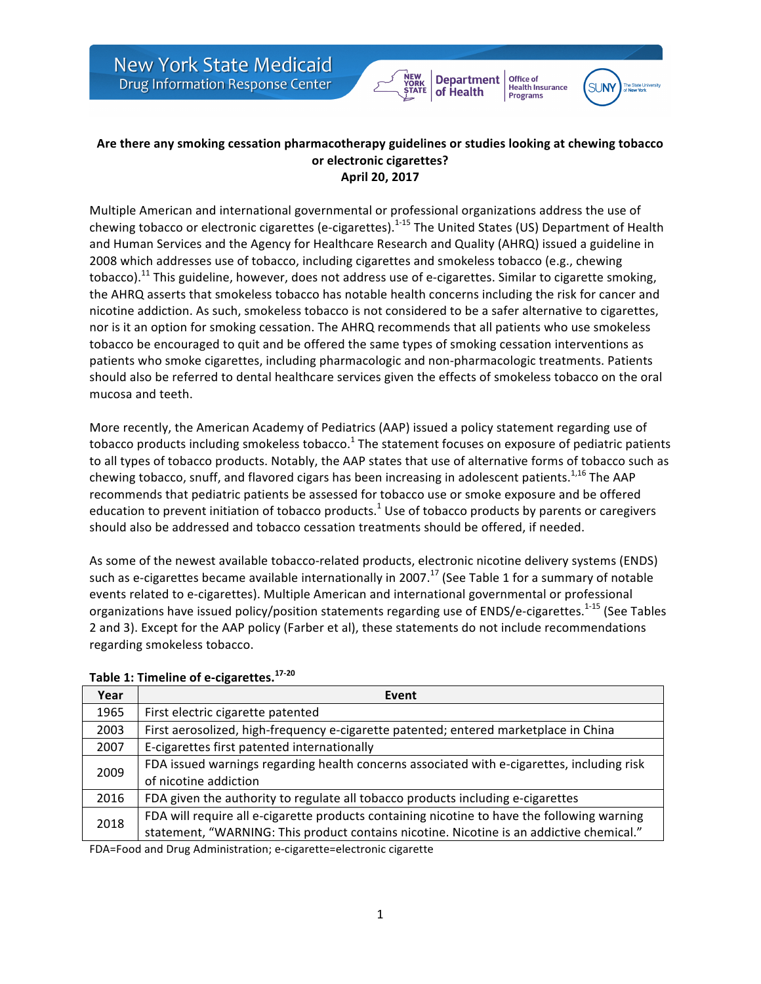**New York State Medicaid** Drug Information Response Center



Office of

**Health Insurance**<br>Programs

# Are there any smoking cessation pharmacotherapy guidelines or studies looking at chewing tobacco **or electronic cigarettes? April 20, 2017**

Multiple American and international governmental or professional organizations address the use of chewing tobacco or electronic cigarettes (e-cigarettes).<sup>1-15</sup> The United States (US) Department of Health and Human Services and the Agency for Healthcare Research and Quality (AHRQ) issued a guideline in 2008 which addresses use of tobacco, including cigarettes and smokeless tobacco (e.g., chewing tobacco).<sup>11</sup> This guideline, however, does not address use of e-cigarettes. Similar to cigarette smoking, the AHRQ asserts that smokeless tobacco has notable health concerns including the risk for cancer and nicotine addiction. As such, smokeless tobacco is not considered to be a safer alternative to cigarettes, nor is it an option for smoking cessation. The AHRQ recommends that all patients who use smokeless tobacco be encouraged to quit and be offered the same types of smoking cessation interventions as patients who smoke cigarettes, including pharmacologic and non-pharmacologic treatments. Patients should also be referred to dental healthcare services given the effects of smokeless tobacco on the oral mucosa and teeth.

More recently, the American Academy of Pediatrics (AAP) issued a policy statement regarding use of tobacco products including smokeless tobacco.<sup>1</sup> The statement focuses on exposure of pediatric patients to all types of tobacco products. Notably, the AAP states that use of alternative forms of tobacco such as chewing tobacco, snuff, and flavored cigars has been increasing in adolescent patients.<sup>1,16</sup> The AAP recommends that pediatric patients be assessed for tobacco use or smoke exposure and be offered education to prevent initiation of tobacco products.<sup>1</sup> Use of tobacco products by parents or caregivers should also be addressed and tobacco cessation treatments should be offered, if needed.

As some of the newest available tobacco-related products, electronic nicotine delivery systems (ENDS) such as e-cigarettes became available internationally in 2007.<sup>17</sup> (See Table 1 for a summary of notable events related to e-cigarettes). Multiple American and international governmental or professional organizations have issued policy/position statements regarding use of ENDS/e-cigarettes.<sup>1-15</sup> (See Tables 2 and 3). Except for the AAP policy (Farber et al), these statements do not include recommendations regarding smokeless tobacco.

| Year | Event                                                                                       |
|------|---------------------------------------------------------------------------------------------|
| 1965 | First electric cigarette patented                                                           |
| 2003 | First aerosolized, high-frequency e-cigarette patented; entered marketplace in China        |
| 2007 | E-cigarettes first patented internationally                                                 |
| 2009 | FDA issued warnings regarding health concerns associated with e-cigarettes, including risk  |
|      | of nicotine addiction                                                                       |
| 2016 | FDA given the authority to regulate all tobacco products including e-cigarettes             |
| 2018 | FDA will require all e-cigarette products containing nicotine to have the following warning |
|      | statement, "WARNING: This product contains nicotine. Nicotine is an addictive chemical."    |

# **Table 1: Timeline of e-cigarettes. 17-20**

FDA=Food and Drug Administration; e-cigarette=electronic cigarette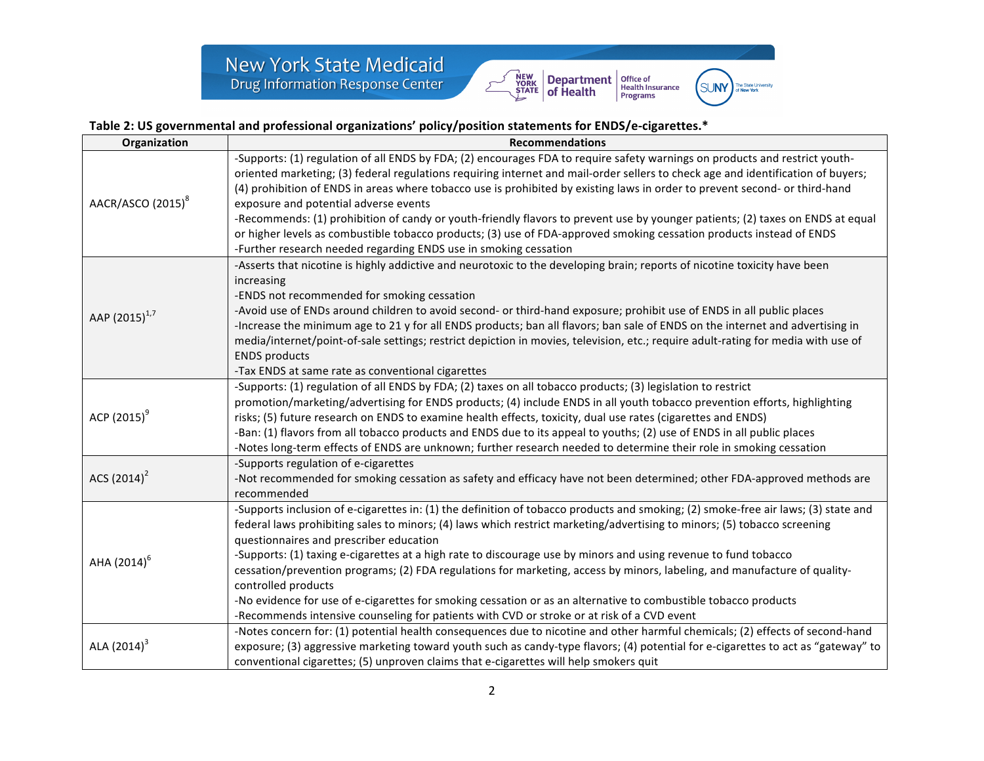

# Table 2: US governmental and professional organizations' policy/position statements for ENDS/e-cigarettes.\*

| Organization                  | <b>Recommendations</b>                                                                                                                                                                                                                                          |
|-------------------------------|-----------------------------------------------------------------------------------------------------------------------------------------------------------------------------------------------------------------------------------------------------------------|
|                               | -Supports: (1) regulation of all ENDS by FDA; (2) encourages FDA to require safety warnings on products and restrict youth-<br>oriented marketing; (3) federal regulations requiring internet and mail-order sellers to check age and identification of buyers; |
|                               | (4) prohibition of ENDS in areas where tobacco use is prohibited by existing laws in order to prevent second- or third-hand                                                                                                                                     |
| AACR/ASCO (2015) <sup>8</sup> | exposure and potential adverse events                                                                                                                                                                                                                           |
|                               | -Recommends: (1) prohibition of candy or youth-friendly flavors to prevent use by younger patients; (2) taxes on ENDS at equal                                                                                                                                  |
|                               | or higher levels as combustible tobacco products; (3) use of FDA-approved smoking cessation products instead of ENDS                                                                                                                                            |
|                               | -Further research needed regarding ENDS use in smoking cessation                                                                                                                                                                                                |
|                               | -Asserts that nicotine is highly addictive and neurotoxic to the developing brain; reports of nicotine toxicity have been                                                                                                                                       |
|                               | increasing                                                                                                                                                                                                                                                      |
|                               | -ENDS not recommended for smoking cessation<br>-Avoid use of ENDs around children to avoid second- or third-hand exposure; prohibit use of ENDS in all public places                                                                                            |
| AAP (2015) <sup>1,7</sup>     | -Increase the minimum age to 21 y for all ENDS products; ban all flavors; ban sale of ENDS on the internet and advertising in                                                                                                                                   |
|                               | media/internet/point-of-sale settings; restrict depiction in movies, television, etc.; require adult-rating for media with use of                                                                                                                               |
|                               | <b>ENDS products</b>                                                                                                                                                                                                                                            |
|                               | -Tax ENDS at same rate as conventional cigarettes                                                                                                                                                                                                               |
|                               | -Supports: (1) regulation of all ENDS by FDA; (2) taxes on all tobacco products; (3) legislation to restrict                                                                                                                                                    |
|                               | promotion/marketing/advertising for ENDS products; (4) include ENDS in all youth tobacco prevention efforts, highlighting                                                                                                                                       |
| ACP $(2015)^9$                | risks; (5) future research on ENDS to examine health effects, toxicity, dual use rates (cigarettes and ENDS)                                                                                                                                                    |
|                               | -Ban: (1) flavors from all tobacco products and ENDS due to its appeal to youths; (2) use of ENDS in all public places                                                                                                                                          |
|                               | -Notes long-term effects of ENDS are unknown; further research needed to determine their role in smoking cessation                                                                                                                                              |
|                               | -Supports regulation of e-cigarettes                                                                                                                                                                                                                            |
| ACS $(2014)^2$                | -Not recommended for smoking cessation as safety and efficacy have not been determined; other FDA-approved methods are<br>recommended                                                                                                                           |
|                               | -Supports inclusion of e-cigarettes in: (1) the definition of tobacco products and smoking; (2) smoke-free air laws; (3) state and                                                                                                                              |
|                               | federal laws prohibiting sales to minors; (4) laws which restrict marketing/advertising to minors; (5) tobacco screening                                                                                                                                        |
|                               | questionnaires and prescriber education                                                                                                                                                                                                                         |
| AHA (2014) <sup>6</sup>       | -Supports: (1) taxing e-cigarettes at a high rate to discourage use by minors and using revenue to fund tobacco                                                                                                                                                 |
|                               | cessation/prevention programs; (2) FDA regulations for marketing, access by minors, labeling, and manufacture of quality-                                                                                                                                       |
|                               | controlled products                                                                                                                                                                                                                                             |
|                               | -No evidence for use of e-cigarettes for smoking cessation or as an alternative to combustible tobacco products                                                                                                                                                 |
|                               | -Recommends intensive counseling for patients with CVD or stroke or at risk of a CVD event                                                                                                                                                                      |
|                               | -Notes concern for: (1) potential health consequences due to nicotine and other harmful chemicals; (2) effects of second-hand                                                                                                                                   |
|                               |                                                                                                                                                                                                                                                                 |
| ALA $(2014)^3$                | exposure; (3) aggressive marketing toward youth such as candy-type flavors; (4) potential for e-cigarettes to act as "gateway" to<br>conventional cigarettes; (5) unproven claims that e-cigarettes will help smokers quit                                      |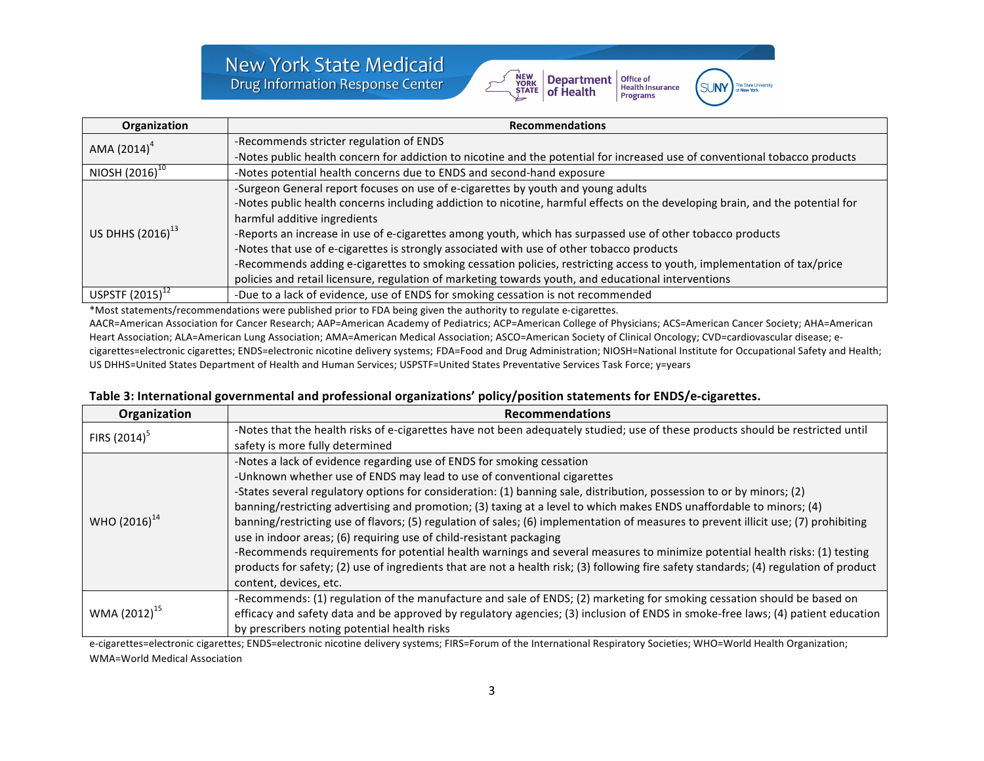

**SUNY** 

| Organization                 | <b>Recommendations</b>                                                                                                        |
|------------------------------|-------------------------------------------------------------------------------------------------------------------------------|
| AMA $(2014)^4$               | -Recommends stricter regulation of ENDS                                                                                       |
|                              | -Notes public health concern for addiction to nicotine and the potential for increased use of conventional tobacco products   |
| NIOSH $(2016)^{10}$          | -Notes potential health concerns due to ENDS and second-hand exposure                                                         |
|                              | -Surgeon General report focuses on use of e-cigarettes by youth and young adults                                              |
|                              | -Notes public health concerns including addiction to nicotine, harmful effects on the developing brain, and the potential for |
|                              | harmful additive ingredients                                                                                                  |
| US DHHS (2016) <sup>13</sup> | -Reports an increase in use of e-cigarettes among youth, which has surpassed use of other tobacco products                    |
|                              | -Notes that use of e-cigarettes is strongly associated with use of other tobacco products                                     |
|                              | -Recommends adding e-cigarettes to smoking cessation policies, restricting access to youth, implementation of tax/price       |
|                              | policies and retail licensure, regulation of marketing towards youth, and educational interventions                           |
| USPSTF $(2015)^+$            | -Due to a lack of evidence, use of ENDS for smoking cessation is not recommended                                              |

\*Most statements/recommendations were published prior to FDA being given the authority to regulate e-cigarettes. AACR=American Association for Cancer Research; AAP=American Academy of Pediatrics; ACP=American College of Physicians; ACS=American Cancer Society; AHA=American Heart Association; ALA=American Lung Association; AMA=American Medical Association; ASCO=American Society of Clinical Oncology; CVD=cardiovascular disease; ecigarettes=electronic cigarettes; ENDS=electronic nicotine delivery systems; FDA=Food and Drug Administration; NIOSH=National Institute for Occupational Safety and Health; US DHHS=United States Department of Health and Human Services; USPSTF=United States Preventative Services Task Force; y=years

### **Table 3: International governmental and professional organizations' policy/position statements for ENDS/e-cigarettes.**

| Organization             | <b>Recommendations</b>                                                                                                                 |
|--------------------------|----------------------------------------------------------------------------------------------------------------------------------------|
| FIRS $(2014)^5$          | -Notes that the health risks of e-cigarettes have not been adequately studied; use of these products should be restricted until        |
|                          | safety is more fully determined                                                                                                        |
|                          | -Notes a lack of evidence regarding use of ENDS for smoking cessation                                                                  |
|                          | -Unknown whether use of ENDS may lead to use of conventional cigarettes                                                                |
|                          | -States several regulatory options for consideration: (1) banning sale, distribution, possession to or by minors; (2)                  |
|                          | banning/restricting advertising and promotion; (3) taxing at a level to which makes ENDS unaffordable to minors; (4)                   |
| WHO $(2016)^{14}$        | banning/restricting use of flavors; (5) regulation of sales; (6) implementation of measures to prevent illicit use; (7) prohibiting    |
|                          | use in indoor areas; (6) requiring use of child-resistant packaging                                                                    |
|                          | -Recommends requirements for potential health warnings and several measures to minimize potential health risks: (1) testing            |
|                          | products for safety; (2) use of ingredients that are not a health risk; (3) following fire safety standards; (4) regulation of product |
|                          | content, devices, etc.                                                                                                                 |
|                          | -Recommends: (1) regulation of the manufacture and sale of ENDS; (2) marketing for smoking cessation should be based on                |
| WMA (2012) <sup>15</sup> | efficacy and safety data and be approved by regulatory agencies; (3) inclusion of ENDS in smoke-free laws; (4) patient education       |
|                          | by prescribers noting potential health risks                                                                                           |

e-cigarettes=electronic cigarettes; ENDS=electronic nicotine delivery systems; FIRS=Forum of the International Respiratory Societies; WHO=World Health Organization; WMA=World Medical Association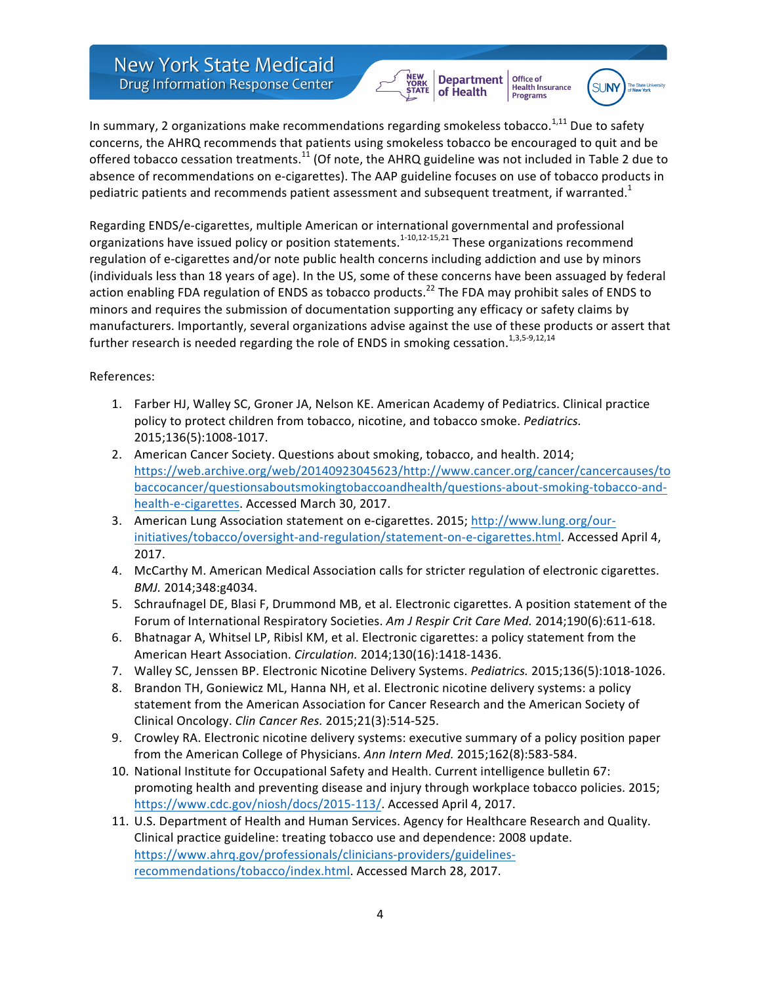**New York State Medicaid Drug Information Response Center** 

Office of **Department Health Insurance** of Health Programs



In summary, 2 organizations make recommendations regarding smokeless tobacco.<sup>1,11</sup> Due to safety concerns, the AHRQ recommends that patients using smokeless tobacco be encouraged to quit and be offered tobacco cessation treatments.<sup>11</sup> (Of note, the AHRQ guideline was not included in Table 2 due to absence of recommendations on e-cigarettes). The AAP guideline focuses on use of tobacco products in pediatric patients and recommends patient assessment and subsequent treatment, if warranted.<sup>1</sup>

Regarding ENDS/e-cigarettes, multiple American or international governmental and professional organizations have issued policy or position statements.<sup>1-10,12-15,21</sup> These organizations recommend regulation of e-cigarettes and/or note public health concerns including addiction and use by minors (individuals less than 18 years of age). In the US, some of these concerns have been assuaged by federal action enabling FDA regulation of ENDS as tobacco products.<sup>22</sup> The FDA may prohibit sales of ENDS to minors and requires the submission of documentation supporting any efficacy or safety claims by manufacturers. Importantly, several organizations advise against the use of these products or assert that further research is needed regarding the role of ENDS in smoking cessation.<sup>1,3,5-9,12,14</sup>

References:

- 1. Farber HJ, Walley SC, Groner JA, Nelson KE. American Academy of Pediatrics. Clinical practice policy to protect children from tobacco, nicotine, and tobacco smoke. *Pediatrics*. 2015;136(5):1008-1017.
- 2. American Cancer Society. Questions about smoking, tobacco, and health. 2014; https://web.archive.org/web/20140923045623/http://www.cancer.org/cancer/cancercauses/to baccocancer/questionsaboutsmokingtobaccoandhealth/questions-about-smoking-tobacco-andhealth-e-cigarettes. Accessed March 30, 2017.
- 3. American Lung Association statement on e-cigarettes. 2015; http://www.lung.org/ourinitiatives/tobacco/oversight-and-regulation/statement-on-e-cigarettes.html. Accessed April 4, 2017.
- 4. McCarthy M. American Medical Association calls for stricter regulation of electronic cigarettes. *BMJ.* 2014;348:g4034.
- 5. Schraufnagel DE, Blasi F, Drummond MB, et al. Electronic cigarettes. A position statement of the Forum of International Respiratory Societies. Am J Respir Crit Care Med. 2014;190(6):611-618.
- 6. Bhatnagar A, Whitsel LP, Ribisl KM, et al. Electronic cigarettes: a policy statement from the American Heart Association. *Circulation.* 2014;130(16):1418-1436.
- 7. Walley SC, Jenssen BP. Electronic Nicotine Delivery Systems. *Pediatrics.* 2015;136(5):1018-1026.
- 8. Brandon TH, Goniewicz ML, Hanna NH, et al. Electronic nicotine delivery systems: a policy statement from the American Association for Cancer Research and the American Society of Clinical Oncology. *Clin Cancer Res.* 2015;21(3):514-525.
- 9. Crowley RA. Electronic nicotine delivery systems: executive summary of a policy position paper from the American College of Physicians. Ann Intern Med. 2015;162(8):583-584.
- 10. National Institute for Occupational Safety and Health. Current intelligence bulletin 67: promoting health and preventing disease and injury through workplace tobacco policies. 2015; https://www.cdc.gov/niosh/docs/2015-113/. Accessed April 4, 2017.
- 11. U.S. Department of Health and Human Services. Agency for Healthcare Research and Quality. Clinical practice guideline: treating tobacco use and dependence: 2008 update. https://www.ahrq.gov/professionals/clinicians-providers/guidelinesrecommendations/tobacco/index.html. Accessed March 28, 2017.